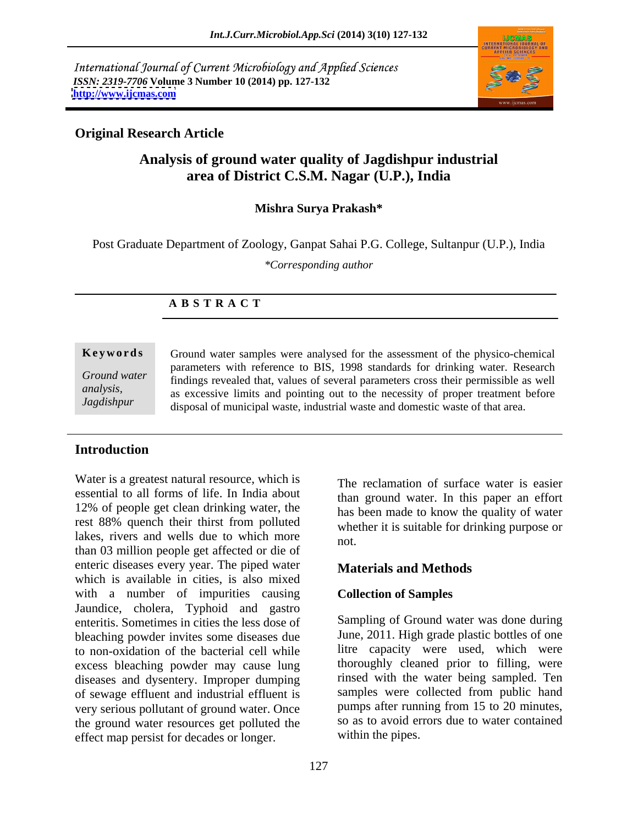International Journal of Current Microbiology and Applied Sciences *ISSN: 2319-7706* **Volume 3 Number 10 (2014) pp. 127-132 <http://www.ijcmas.com>**



# **Original Research Article**

# **Analysis of ground water quality of Jagdishpur industrial area of District C.S.M. Nagar (U.P.), India**

## **Mishra Surya Prakash\***

Post Graduate Department of Zoology, Ganpat Sahai P.G. College, Sultanpur (U.P.), India

*\*Corresponding author* 

## **A B S T R A C T**

**Keywords** Ground water samples were analysed for the assessment of the physico-chemical *Ground water*  findings revealed that, values of several parameters cross their permissible as well *analysis,* as excessive limits and pointing out to the necessity of proper treatment before *Jagdishpur* disposal of municipal waste, industrial waste and domestic waste of that area.parameters with reference to BIS, 1998 standards for drinking water. Research

# **Introduction**

Water is a greatest natural resource, which is essential to all forms of life. In India about 12% of people get clean drinking water, the rest 88% quench their thirst from polluted lakes, rivers and wells due to which more  $\frac{1}{\pi}$ than 03 million people get affected or die of enteric diseases every year. The piped water which is available in cities, is also mixed with a number of impurities causing Jaundice, cholera, Typhoid and gastro enteritis. Sometimes in cities the less dose of bleaching powder invites some diseases due to non-oxidation of the bacterial cell while excess bleaching powder may cause lung diseases and dysentery. Improper dumping of sewage effluent and industrial effluent is very serious pollutant of ground water. Once the ground water resources get polluted the effect map persist for decades or longer.

The reclamation of surface water is easier than ground water. In this paper an effort has been made to know the quality of water whether it is suitable for drinking purpose or not.

# **Materials and Methods**

### **Collection of Samples**

Sampling of Ground water was done during June, 2011. High grade plastic bottles of one litre capacity were used, which were thoroughly cleaned prior to filling, were rinsed with the water being sampled. Ten samples were collected from public hand pumps after running from 15 to 20 minutes, so as to avoid errors due to water contained within the pipes.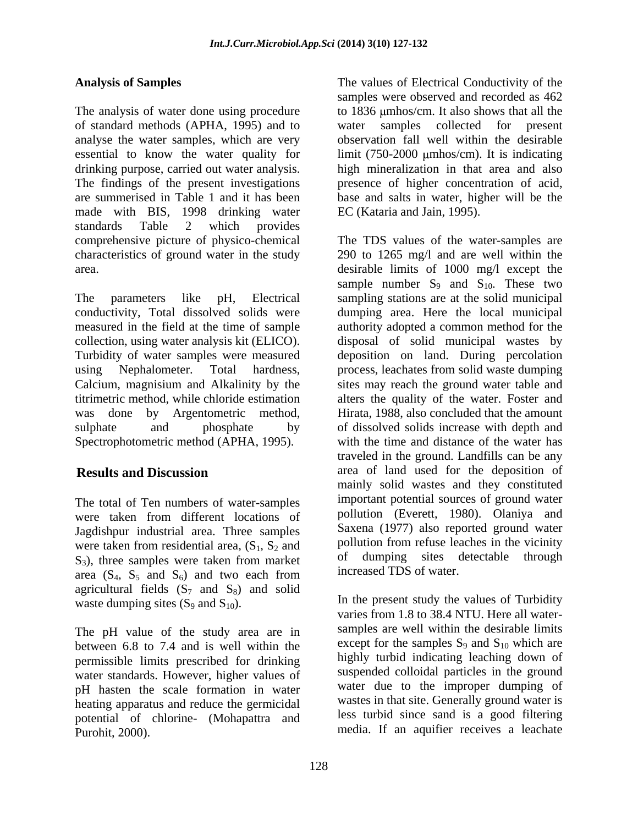The analysis of water done using procedure to 1836  $\mu$ mhos/cm. It also shows that all the of standard methods (APHA, 1995) and to analyse the water samples, which are very essential to know the water quality for limit (750-2000 µmhos/cm). It is indicating drinking purpose, carried out water analysis. high mineralization in that area and also The findings of the present investigations presence of higher concentration of acid, are summerised in Table 1 and it has been base and salts in water, higher will be the made with BIS, 1998 drinking water standards Table 2 which provides

The total of Ten numbers of water-samples were taken from different locations of Jagdishpur industrial area. Three samples were taken from residential area,  $(S_1, S_2, S_3)$  $S_3$ ), three samples were taken from market area  $(S_4, S_5$  and  $S_6)$  and two each from area  $(S_4, S_5 \text{ and } S_6)$  and two each from lincreased IDS of water. agricultural fields  $(S_7 \text{ and } S_8)$  and solid waste dumping sites  $(S_9 \text{ and } S_{10})$ .

The pH value of the study area are in between 6.8 to 7.4 and is well within the permissible limits prescribed for drinking water standards. However, higher values of pH hasten the scale formation in water heating apparatus and reduce the germicidal potential of chlorine- (Mohapattra and Purohit, 2000). media. If an aquifier receives a leachate

**Analysis of Samples** The values of Electrical Conductivity of the samples were observed and recorded as 462 water samples collected for observation fall well within the desirable EC (Kataria and Jain, 1995).

comprehensive picture of physico-chemical The TDS values of the water-samples are characteristics of ground water in the study 290 to 1265 mg/l and are well within the area. desirable limits of 1000 mg/l except the The parameters like pH, Electrical sampling stations are at the solid municipal conductivity, Total dissolved solids were dumping area. Here the local municipal measured in the field at the time of sample authority adopted a common method for the collection, using water analysis kit (ELICO). disposal of solid municipal wastes by Turbidity of water samples were measured deposition on land. During percolation using Nephalometer. Total hardness, process, leachates from solid waste dumping Calcium, magnisium and Alkalinity by the sites may reach the ground water table and titrimetric method, while chloride estimation alters the quality of the water. Foster and was done by Argentometric method, Hirata, 1988, also concluded that the amount sulphate and phosphate by of dissolved solids increase with depth and Spectrophotometric method (APHA, 1995). with the time and distance of the water has **Results and Discussion** area of land used for the deposition of sample number  $S_9$  and  $S_{10}$ . These two traveled in the ground. Landfills can be any mainly solid wastes and they constituted important potential sources of ground water pollution (Everett, 1980). Olaniya and Saxena (1977) also reported ground water pollution from refuse leaches in the vicinity of dumping sites detectable through increased TDS of water.

> In the present study the values of Turbidity varies from 1.8 to 38.4 NTU. Here all water samples are well within the desirable limits except for the samples  $S_9$  and  $S_{10}$  which are highly turbid indicating leaching down of suspended colloidal particles in the ground water due to the improper dumping of wastes in that site. Generally ground water is less turbid since sand is a good filtering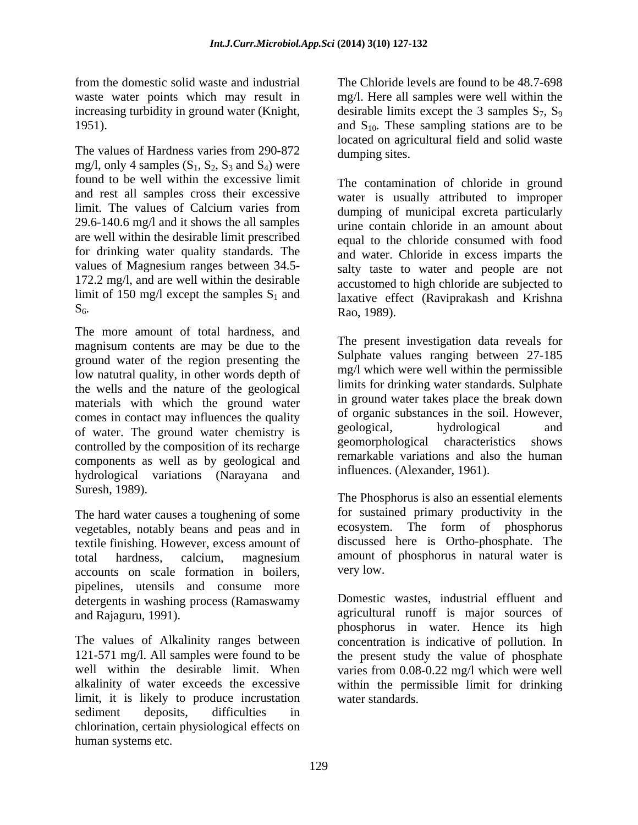increasing turbidity in ground water (Knight,

The values of Hardness varies from 290-872 dumping sites. mg/l, only 4 samples  $(S_1, S_2, S_3 \text{ and } S_4)$  were found to be well within the excessive limit and rest all samples cross their excessive 29.6-140.6 mg/l and it shows the all samples are well within the desirable limit prescribed for drinking water quality standards. The values of Magnesium ranges between 34.5- 172.2 mg/l, and are well within the desirable limit of 150 mg/l except the samples  $S_1$  and

magnisum contents are may be due to the ground water of the region presenting the low natutral quality, in other words depth of the wells and the nature of the geological materials with which the ground water comes in contact may influences the quality of organic substances in the soil. However,<br>of water The ground water elementry is geological, hydrological and of water. The ground water chemistry is geological, hydrological and geomorphological characteristics shows controlled by the composition of its recharge components as well as by geological and hydrological variations (Narayana and Suresh, 1989).

The hard water causes a toughening of some vegetables, notably beans and peas and in textile finishing. However, excess amount of total hardness, calcium, magnesium accounts on scale formation in boilers, pipelines, utensils and consume more detergents in washing process (Ramaswamy

limit, it is likely to produce incrustation sediment deposits, difficulties in chlorination, certain physiological effects on human systems etc.

from the domestic solid waste and industrial waste water points which may result in mg/l. Here all samples were well within the 1951).  $\qquad \qquad \text{and } S_{10}$ . These sampling stations are to be The Chloride levels are found to be 48.7-698 desirable limits except the 3 samples  $S_7$ ,  $S_9$ located on agricultural field and solid waste dumping sites.

limit. The values of Calcium varies from dumping of municipal excreta particularly  $S_6$ . Rao, 1989). The contamination of chloride in ground water is usually attributed to improper urine contain chloride in an amount about equal to the chloride consumed with food and water. Chloride in excess imparts the salty taste to water and people are not accustomed to high chloride are subjected to laxative effect (Raviprakash and Krishna Rao, 1989).

The present investigation data reveals for Sulphate values ranging between 27-185 mg/l which were well within the permissible limits for drinking water standards. Sulphate in ground water takes place the break down of organic substances in the soil. However, geological, hydrological and geomorphological characteristics remarkable variations and also the human influences. (Alexander, 1961).

The Phosphorus is also an essential elements for sustained primary productivity in the ecosystem. The form of phosphorus discussed here is Ortho-phosphate. The amount of phosphorus in natural water is very low.

and Rajaguru, 1991). **A support is a support is major sources** of agricultural runoff is major sources of The values of Alkalinity ranges between concentration is indicative of pollution. In 121-571 mg/l. All samples were found to be the present study the value of phosphate well within the desirable limit. When varies from 0.08-0.22 mg/l which were well alkalinity of water exceeds the excessive within the permissible limit for drinking Domestic wastes, industrial effluent and phosphorus in water. Hence its high water standards.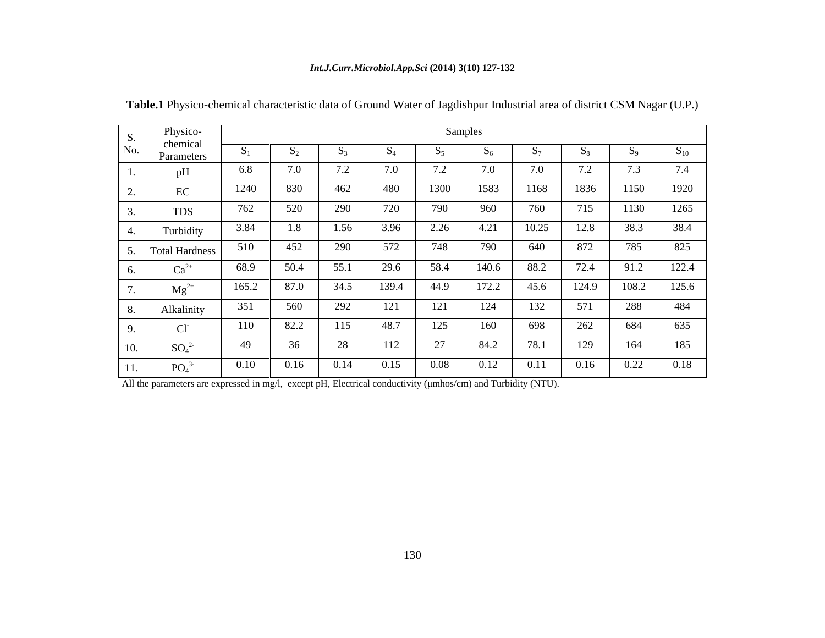### *Int.J.Curr.Microbiol.App.Sci* **(2014) 3(10) 127-132**

|                          | Physico-                     | Samples |                |              |       |                       |       |       |       |       |          |  |  |
|--------------------------|------------------------------|---------|----------------|--------------|-------|-----------------------|-------|-------|-------|-------|----------|--|--|
| S.<br>No.                | chemical<br>Parameters       |         | $\mathbf{D}_2$ | $\mathbf{v}$ |       |                       |       |       |       |       | $S_{10}$ |  |  |
|                          | pH                           | 6.8     | 7.0            | 7.2          | 7.0   | $\overline{z}$<br>1.2 | 7.0   | 7.0   | 7.2   | 7.3   | 7.4      |  |  |
| $\overline{\phantom{a}}$ | EC                           | 1240    | 830            | 462          | 480   | 1300                  | 1583  | 1168  | 1836  | 1150  | 1920     |  |  |
| <u>.</u>                 | <b>TDS</b>                   | 762     | 520            | 290          | 720   | 790                   | 960   | 760   | 715   | 1130  | 1265     |  |  |
|                          | Turbidity                    | 3.84    | 1.8            | 1.56         | 3.96  | 2.26                  | 4.21  | 10.25 | 12.8  | 38.3  | 38.4     |  |  |
|                          | <b>Total Hardness</b>        | 510     | 452            | 290          | 572   | 748                   | 790   | 640   | 872   | 785   | 825      |  |  |
|                          | $Ca^{2+}$                    | 68.9    | 50.4           | 55.1         | 29.6  | 58.4                  | 140.6 | 88.2  | 72.4  | 91.2  | 122.4    |  |  |
|                          | $Mg^{2+}$                    | 165.2   | 87.0           | 34.5         | 139.4 | 44.9                  | 172.2 | 45.6  | 124.9 | 108.2 | 125.6    |  |  |
|                          | Alkalinity                   | 351     | 560            | 292          | 121   | $1^{\circ}$<br>141    | 124   | 132   | 571   | 288   | 484      |  |  |
|                          | CI <sub>1</sub>              | 110     | 82.2           | 115          | 48.7  | $1 \angle J$          | 160   | 698   | 262   | 684   | 635      |  |  |
| 10.                      | $SO_4^2$                     | 49      | 36             | 28           | 112   | $\gamma$<br>∠         | 84.2  | 78.1  | 129   | 164   | 185      |  |  |
| 11.                      | PO <sub>4</sub> <sup>3</sup> | 0.10    | 0.16           | 0.14         | 0.15  | $0.08\,$              | 0.12  | 0.11  | 0.16  | 0.22  | 0.18     |  |  |

**Table.1** Physico-chemical characteristic data of Ground Water of Jagdishpur Industrial area of district CSM Nagar (U.P.)

All the parameters are expressed in mg/l, except pH, Electrical conductivity ( $\mu$ mhos/cm) and Turbidity (NTU).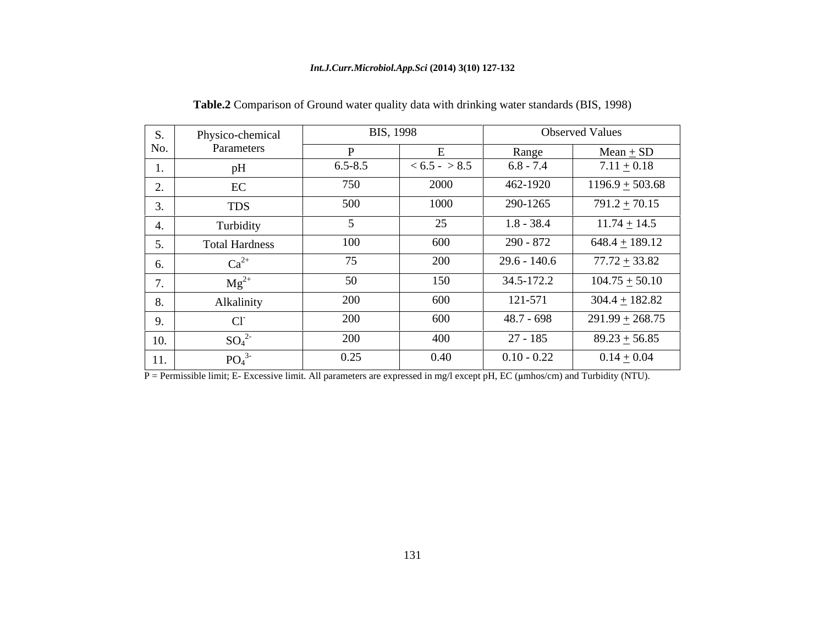### *Int.J.Curr.Microbiol.App.Sci* **(2014) 3(10) 127-132**

| S.                                  | Physico-chemical             |             | <b>BIS, 1998</b> |                | <b>Observed Values</b> |
|-------------------------------------|------------------------------|-------------|------------------|----------------|------------------------|
| No.                                 | Parameters                   |             |                  | Range          | $Mean + SD$            |
| -1.                                 | pH                           | $6.5 - 8.5$ | $< 6.5 - > 8.5$  | $6.8 - 7.4$    | $7.11 \pm 0.18$        |
| $\Omega$<br>$\mathcal{L}_{\bullet}$ | EC                           | 750         | 2000             | 462-1920       | $1196.9 \pm 503.68$    |
| 3.                                  | <b>TDS</b>                   | 500         | 1000             | 290-1265       | $791.2 \pm 70.15$      |
| 4.                                  | Turbidity                    |             | 25               | $1.8 - 38.4$   | $11.74 \pm 14.5$       |
| 5.                                  | <b>Total Hardness</b>        | 100         | 600              | 290 - 872      | $648.4 \pm 189.12$     |
| 6.                                  | $Ca^{2+}$                    | 75          | 200              | $29.6 - 140.6$ | $77.72 \pm 33.82$      |
| $\overline{a}$<br>$\cdots$          | $Mg^{2+}$                    | 50          | 150              | 34.5-172.2     | $104.75 \pm 50.10$     |
| 8.                                  | Alkalinity                   | 200         | 600              | 121-571        | $304.4 \pm 182.82$     |
| 9.                                  | $Cl^-$                       | 200         | 600              | 48.7 - 698     | $291.99 \pm 268.75$    |
| 10.                                 | $SO_4^2$                     | 200         | 400              | 27 - 185       | $89.23 \pm 56.85$      |
| 11.                                 | PO <sub>4</sub> <sup>3</sup> | 0.25        | 0.40             | $0.10 - 0.22$  | $0.14 \pm 0.04$        |

**Table.2** Comparison of Ground water quality data with drinking water standards (BIS, 1998)

 $\overline{P}$  = Permissible limit; E- Excessive limit. All parameters are expressed in mg/l except pH, EC ( $\mu$ mhos/cm) and Turbidity (NTU).